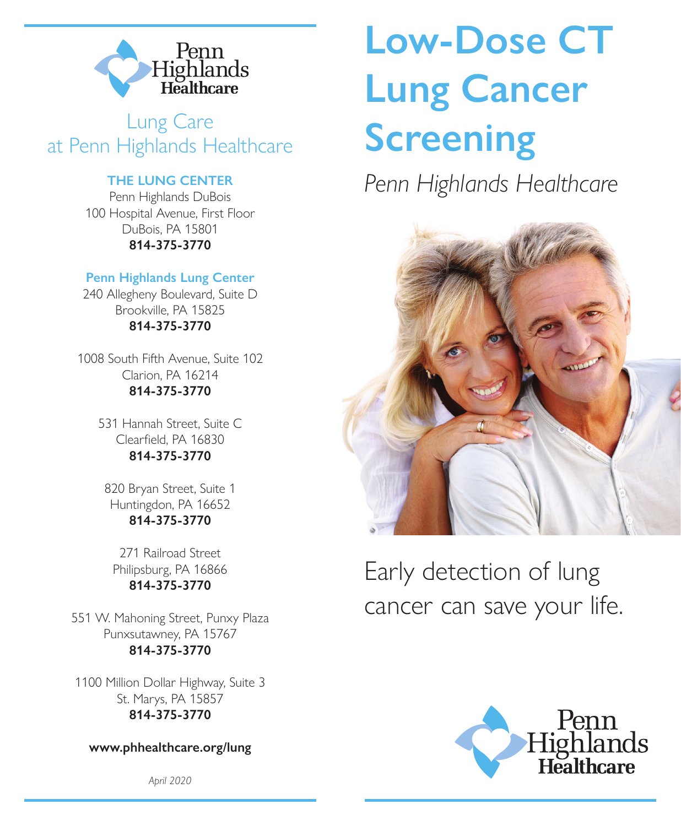

### Lung Care at Penn Highlands Healthcare

### **THE LUNG CENTER**

Penn Highlands DuBois 100 Hospital Avenue, First Floor DuBois, PA 15801 **814-375-3770**

### **Penn Highlands Lung Center**

240 Allegheny Boulevard, Suite D Brookville, PA 15825 **814-375-3770**

1008 South Fifth Avenue, Suite 102 Clarion, PA 16214 **814-375-3770**

> 531 Hannah Street, Suite C Clearfield, PA 16830 **814-375-3770**

820 Bryan Street, Suite 1 Huntingdon, PA 16652 **814-375-3770** 

271 Railroad Street Philipsburg, PA 16866 **814-375-3770**

551 W. Mahoning Street, Punxy Plaza Punxsutawney, PA 15767 **814-375-3770**

1100 Million Dollar Highway, Suite 3 St. Marys, PA 15857 **814-375-3770**

**www.phhealthcare.org/lung**

*April 2020*

# **Low-Dose CT Lung Cancer Screening**

*Penn Highlands Healthcare*



Early detection of lung cancer can save your life.